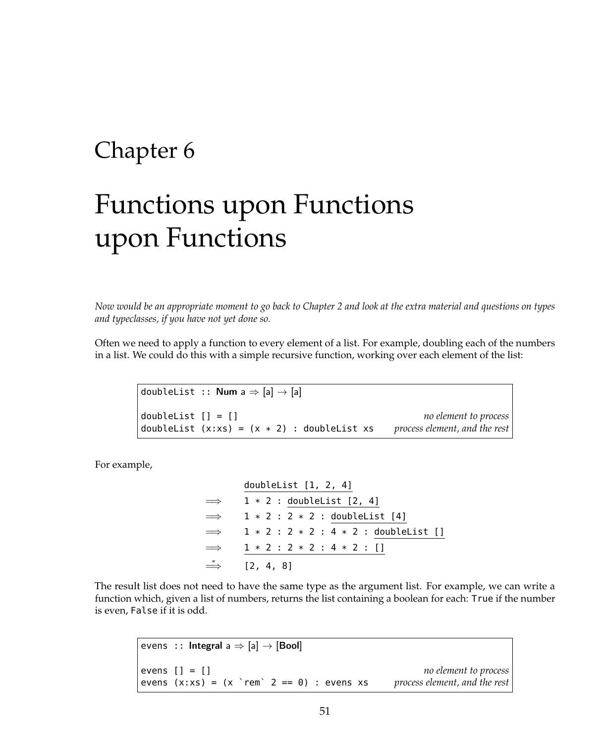## Chapter 6

## Functions upon Functions upon Functions

*Now would be an appropriate moment to go back to Chapter 2 and look at the extra material and questions on types and typeclasses, if you have not yet done so.*

Often we need to apply a function to every element of a list. For example, doubling each of the numbers in a list. We could do this with a simple recursive function, working over each element of the list:

doubleList ::  $Num a \Rightarrow [a] \rightarrow [a]$ doubleList [] = [] *no element to process* doubleList (x:xs) = (x \* 2) : doubleList xs *process element, and the rest*

For example,

$$
\implies \frac{\text{doubleList [1, 2, 4]}}{1 * 2 : \text{doubleList [2, 4]}} \\ \implies 1 * 2 : 2 * 2 : \frac{\text{doubleList [4]}}{\text{doubleList [1]}} \\ \implies 1 * 2 : 2 * 2 : 4 * 2 : \frac{\text{doubleList [1]}}{\text{doubleList [2, 4, 8]}} \\ \implies [2, 4, 8]
$$

The result list does not need to have the same type as the argument list. For example, we can write a function which, given a list of numbers, returns the list containing a boolean for each: True if the number is even, False if it is odd.

```
evens :: Integral a \Rightarrow [a] \rightarrow [Bool]evens [] = [] no element to process
evens (x:xs) = (x `rem` 2 == 0) : evens xs process element, and the rest
```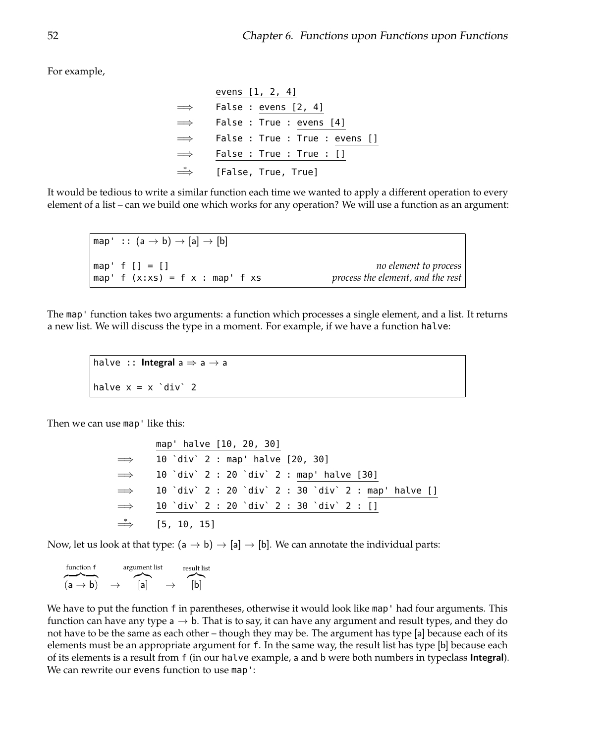For example,

|               | evens [1, 2, 4]                |
|---------------|--------------------------------|
| $\implies$    | False : evens [2, 4]           |
| $\implies$    | False : True : evens [4]       |
| $\implies$    | False : True : True : evens [] |
| $\implies$    | False : True : True : []       |
| $\Rightarrow$ | [False, True, True]            |

It would be tedious to write a similar function each time we wanted to apply a different operation to every element of a list – can we build one which works for any operation? We will use a function as an argument:

map' ::  $(a \rightarrow b) \rightarrow [a] \rightarrow [b]$ map' f [] = [] *no element to process* map' f (x:xs) = f x : map' f xs *process the element, and the rest*

The map' function takes two arguments: a function which processes a single element, and a list. It returns a new list. We will discuss the type in a moment. For example, if we have a function halve:

halve :: Integral  $a \Rightarrow a \rightarrow a$ halve  $x = x \text{ div}^2 2$ 

Then we can use map' like this:

map' halve [10, 20, 30]  $\implies$  10 `div` 2 : map' halve [20, 30]  $\implies$  10 `div` 2 : 20 `div` 2 : map' halve [30]  $\implies$  10 `div` 2 : 20 `div` 2 : 30 `div` 2 : map' halve []  $\implies$  10 `div` 2 : 20 `div` 2 : 30 `div` 2 : []  $\Rightarrow$  [5, 10, 15]

Now, let us look at that type:  $(a \rightarrow b) \rightarrow [a] \rightarrow [b]$ . We can annotate the individual parts:

| function f          | argument list |                          | result list |
|---------------------|---------------|--------------------------|-------------|
|                     |               |                          |             |
| $(a \rightarrow b)$ | lal           | $\overline{\phantom{0}}$ | lbl         |

We have to put the function f in parentheses, otherwise it would look like map' had four arguments. This function can have any type  $a \rightarrow b$ . That is to say, it can have any argument and result types, and they do not have to be the same as each other – though they may be. The argument has type [a] because each of its elements must be an appropriate argument for f. In the same way, the result list has type [b] because each of its elements is a result from f (in our halve example, a and b were both numbers in typeclass Integral). We can rewrite our evens function to use map':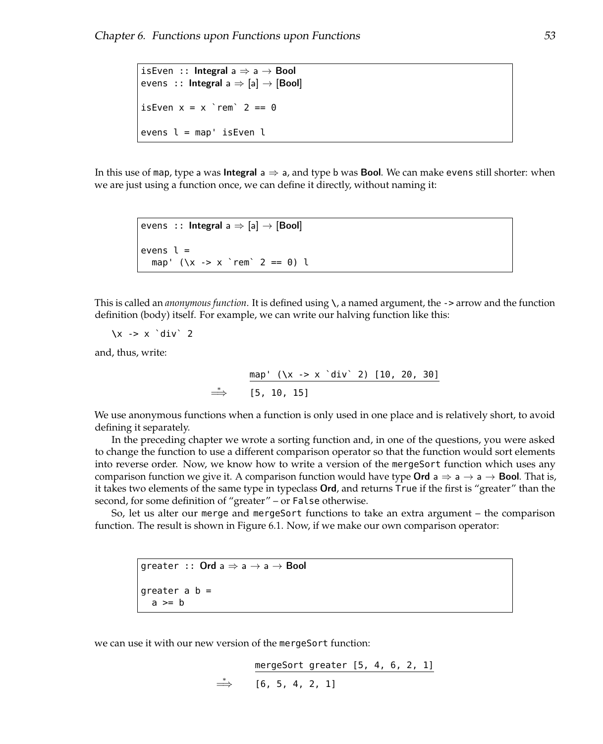```
isEven :: Integral a \Rightarrow a \rightarrow Bool
evens :: Integral a \Rightarrow [a] \rightarrow [Bool]isEven x = x 'rem' 2 == 0evens l = map' isEven l
```
In this use of map, type a was **Integral** a  $\Rightarrow$  a, and type b was **Bool**. We can make evens still shorter: when we are just using a function once, we can define it directly, without naming it:

```
evens :: Integral a \Rightarrow [a] \rightarrow [Bool]
evens l =map' (\x \rightarrow x \r{-rem} 2 == 0) l
```
This is called an *anonymous function*. It is defined using **\**, a named argument, the -> arrow and the function definition (body) itself. For example, we can write our halving function like this:

**\**x -> x `div` 2

and, thus, write:

$$
\Rightarrow \quad \frac{\text{map' } (\{x \rightarrow x \text{'} \text{div } 2) [10, 20, 30]}{\text{[5, 10, 15]}}
$$

We use anonymous functions when a function is only used in one place and is relatively short, to avoid defining it separately.

In the preceding chapter we wrote a sorting function and, in one of the questions, you were asked to change the function to use a different comparison operator so that the function would sort elements into reverse order. Now, we know how to write a version of the mergeSort function which uses any comparison function we give it. A comparison function would have type **Ord**  $a \Rightarrow a \rightarrow a \rightarrow$  **Bool**. That is, it takes two elements of the same type in typeclass Ord, and returns True if the first is "greater" than the second, for some definition of "greater" – or False otherwise.

So, let us alter our merge and mergeSort functions to take an extra argument – the comparison function. The result is shown in Figure [6.1.](#page-3-0) Now, if we make our own comparison operator:

```
greater :: Ord a \Rightarrow a \rightarrow a \rightarrow Bool
greater a b =a \geq b
```
we can use it with our new version of the mergeSort function:

mergeSort greater [5, 4, 6, 2, 1]  $\Rightarrow$  [6, 5, 4, 2, 1]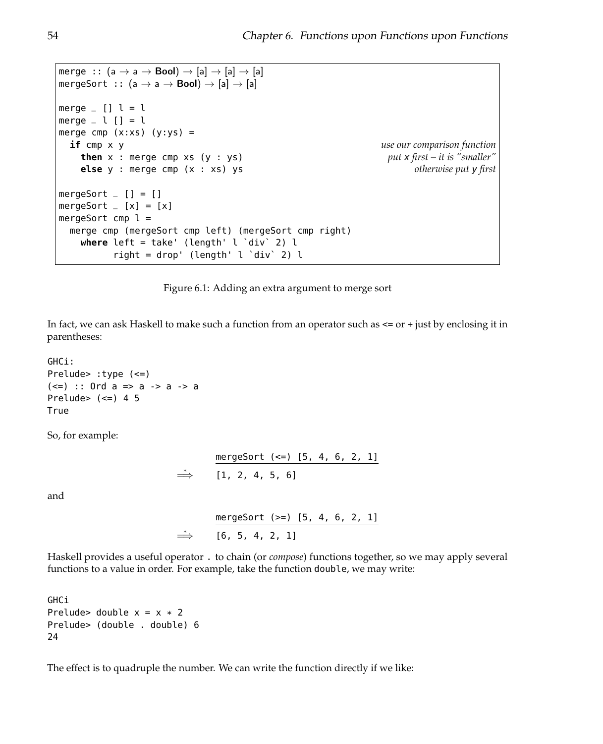```
merge :: (a \rightarrow a \rightarrow \text{Bool}) \rightarrow [a] \rightarrow [a] \rightarrow [a]mergeSort :: (a \rightarrow a \rightarrow Bool) \rightarrow [a] \rightarrow [a]
merge [ ] l = lmerge \_ l [] = lmerge cmp (x:xs) (y:ys) =if cmp x y use our comparison function
    then x : merge cmp xs (y : ys) put x first – it is "smaller"
    else y : merge cmp (x : xs) ys otherwise put y first
mergeSort =[] = []mergeSort =[x] = [x]mergeSort cmp l =merge cmp (mergeSort cmp left) (mergeSort cmp right)
    where left = take' (length' l `div` 2) l
          right = drop' (length' l 'div' 2) l
```
Figure 6.1: Adding an extra argument to merge sort

In fact, we can ask Haskell to make such a function from an operator such as  $\leq$  or  $+$  just by enclosing it in parentheses:

```
GHCi:
Prelude> :type (<=)
(<=) :: Ord a => a -> a -> a
Prelude> (\leq) 4 5
True
```
So, for example:

```
mergeSort (<=) [5, 4, 6, 2, 1]
\Rightarrow [1, 2, 4, 5, 6]
```
and

mergeSort (>=) [5, 4, 6, 2, 1]  $\Rightarrow$  [6, 5, 4, 2, 1]

Haskell provides a useful operator . to chain (or *compose*) functions together, so we may apply several functions to a value in order. For example, take the function double, we may write:

GHCi Prelude> double  $x = x * 2$ Prelude> (double . double) 6 24

The effect is to quadruple the number. We can write the function directly if we like: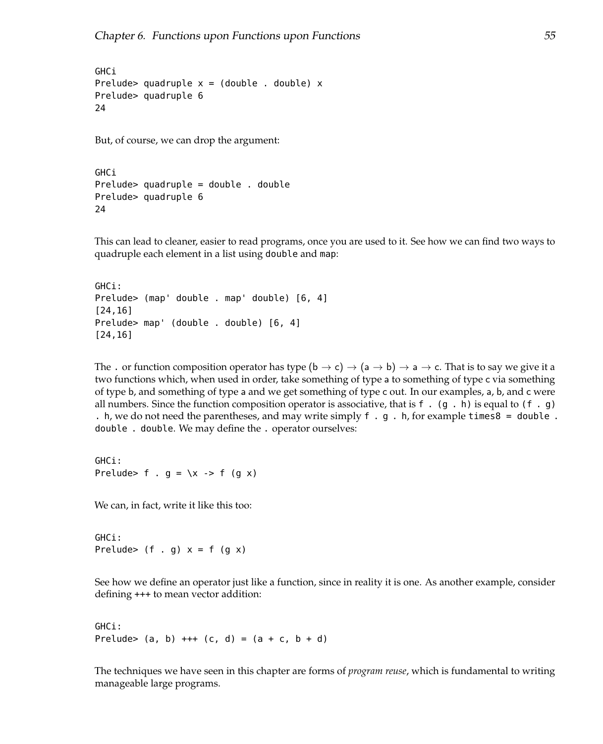**GHCi** Prelude> quadruple  $x = (double \cdot, double) \times$ Prelude> quadruple 6 24

But, of course, we can drop the argument:

```
GHCi
Prelude> quadruple = double . double
Prelude> quadruple 6
24
```
This can lead to cleaner, easier to read programs, once you are used to it. See how we can find two ways to quadruple each element in a list using double and map:

```
GHCi:
Prelude> (map' double . map' double) [6, 4]
[24,16]
Prelude> map' (double . double) [6, 4]
[24,16]
```
The . or function composition operator has type  $(b \to c) \to (a \to b) \to a \to c$ . That is to say we give it a two functions which, when used in order, take something of type a to something of type c via something of type b, and something of type a and we get something of type c out. In our examples, a, b, and c were all numbers. Since the function composition operator is associative, that is f . (g . h) is equal to (f . g) . h, we do not need the parentheses, and may write simply f . g . h, for example times8 = double . double . double. We may define the . operator ourselves:

```
GHCi:
Prelude> f . q = \x1 -> f (q x)
```
We can, in fact, write it like this too:

GHCi: Prelude>  $(f \cdot g)$   $x = f(g x)$ 

See how we define an operator just like a function, since in reality it is one. As another example, consider defining +++ to mean vector addition:

```
GHCi:
Prelude> (a, b) +++ (c, d) = (a + c, b + d)
```
The techniques we have seen in this chapter are forms of *program reuse*, which is fundamental to writing manageable large programs.